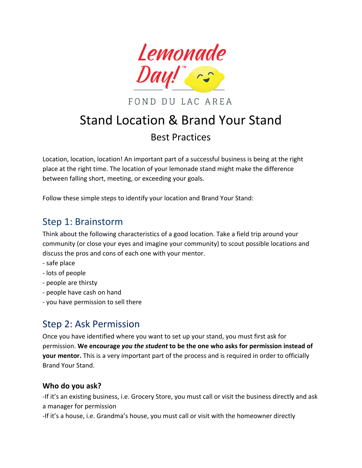

FOND DU LAC AREA

# Stand Location & Brand Your Stand Best Practices

Location, location, location! An important part of a successful business is being at the right place at the right time. The location of your lemonade stand might make the difference between falling short, meeting, or exceeding your goals.

Follow these simple steps to identify your location and Brand Your Stand:

### Step 1: Brainstorm

Think about the following characteristics of a good location. Take a field trip around your community (or close your eyes and imagine your community) to scout possible locations and discuss the pros and cons of each one with your mentor.

- safe place
- lots of people
- people are thirsty
- people have cash on hand
- you have permission to sell there

## Step 2: Ask Permission

Once you have identified where you want to set up your stand, you must first ask for permission. **We encourage** *you the student* **to be the one who asks for permission instead of your mentor.** This is a very important part of the process and is required in order to officially Brand Your Stand.

#### **Who do you ask?**

-If it's an existing business, i.e. Grocery Store, you must call or visit the business directly and ask a manager for permission

-If it's a house, i.e. Grandma's house, you must call or visit with the homeowner directly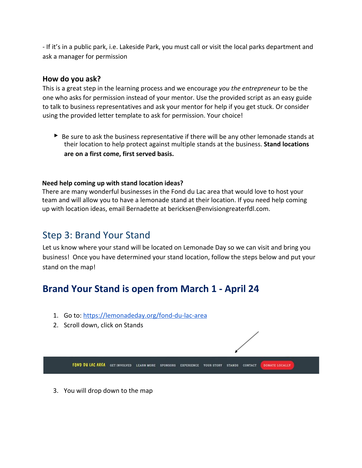- If it's in a public park, i.e. Lakeside Park, you must call or visit the local parks department and ask a manager for permission

#### **How do you ask?**

This is a great step in the learning process and we encourage *you the entrepreneur* to be the one who asks for permission instead of your mentor. Use the provided script as an easy guide to talk to business representatives and ask your mentor for help if you get stuck. Or consider using the provided letter template to ask for permission. Your choice!

► Be sure to ask the business representative if there will be any other lemonade stands at their location to help protect against multiple stands at the business. **Stand locations are on a first come, first served basis.**

#### **Need help coming up with stand location ideas?**

There are many wonderful businesses in the Fond du Lac area that would love to host your team and will allow you to have a lemonade stand at their location. If you need help coming up with location ideas, email Bernadette at bericksen@envisiongreaterfdl.com.

### Step 3: Brand Your Stand

Let us know where your stand will be located on Lemonade Day so we can visit and bring you business! Once you have determined your stand location, follow the steps below and put your stand on the map!

## **Brand Your Stand is open from March 1 - April 24**

- 1. Go to: <https://lemonadeday.org/fond-du-lac-area>
- 2. Scroll down, click on Stands



3. You will drop down to the map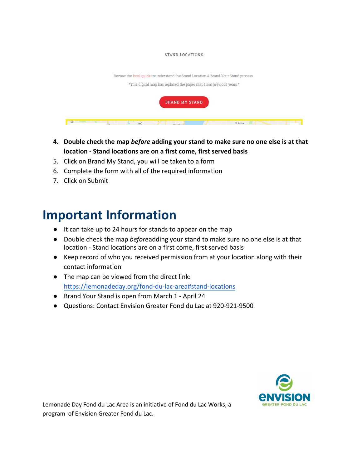#### STAND LOCATIONS

| Review the local guide to understand the Stand Location & Brand Your Stand process.<br>*This digital map has replaced the paper map from previous years.* |
|-----------------------------------------------------------------------------------------------------------------------------------------------------------|
| <b>BRAND MY STAND</b>                                                                                                                                     |
| St Anna<br>(44)                                                                                                                                           |

- **4. Double check the map** *before* **adding your stand to make sure no one else is at that location - Stand locations are on a first come, first served basis**
- 5. Click on Brand My Stand, you will be taken to a form
- 6. Complete the form with all of the required information
- 7. Click on Submit

# **Important Information**

- It can take up to 24 hours for stands to appear on the map
- Double check the map *before* adding your stand to make sure no one else is at that location - Stand locations are on a first come, first served basis
- Keep record of who you received permission from at your location along with their contact information
- The map can be viewed from the direct link: <https://lemonadeday.org/fond-du-lac-area#stand-locations>
- Brand Your Stand is open from March 1 April 24
- Questions: Contact Envision Greater Fond du Lac at 920-921-9500



Lemonade Day Fond du Lac Area is an initiative of Fond du Lac Works, a program of Envision Greater Fond du Lac.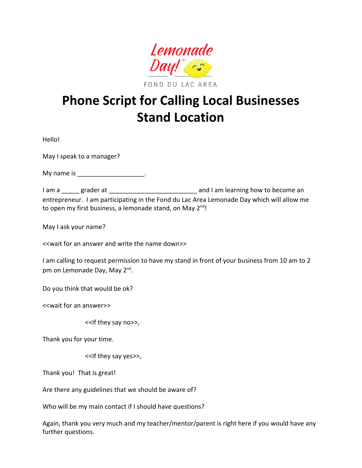

**Phone Script for Calling Local Businesses Stand Location** 

Hello!

May I speak to a manager?

My name is the control of the control of the control of the control of the control of the control of the control of the control of the control of the control of the control of the control of the control of the control of t

I am a \_\_\_\_\_ grader at \_\_\_\_\_\_\_\_\_\_\_\_\_\_\_\_\_\_\_\_\_\_\_\_\_\_\_\_\_\_ and I am learning how to become an entrepreneur. I am participating in the Fond du Lac Area Lemonade Day which will allow me to open my first business, a lemonade stand, on May 2<sup>nd</sup>!

May I ask your name?

<<wait for an answer and write the name down>>

I am calling to request permission to have my stand in front of your business from 10 am to 2 pm on Lemonade Day, May 2<sup>nd</sup>.

Do you think that would be ok?

<<wait for an answer>>

<<If they say no>>,

Thank you for your time.

<<If they say yes>>,

Thank you! That is great!

Are there any guidelines that we should be aware of?

Who will be my main contact if I should have questions?

Again, thank you very much and my teacher/mentor/parent is right here if you would have any further questions.